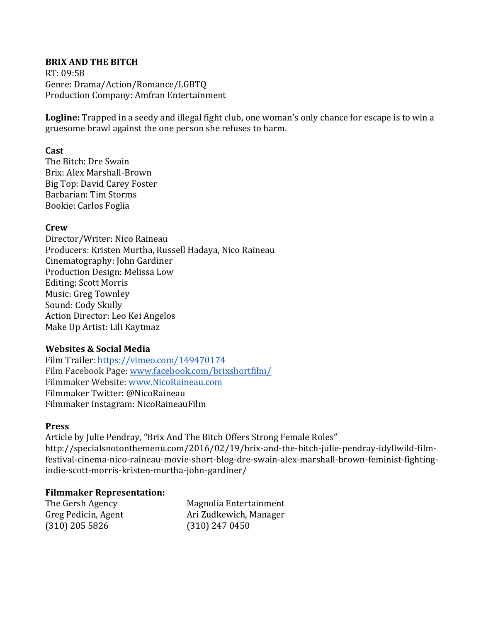# **BRIX AND THE BITCH**

RT: 09:58 Genre: Drama/Action/Romance/LGBTQ Production Company: Amfran Entertainment

**Logline:** Trapped in a seedy and illegal fight club, one woman's only chance for escape is to win a gruesome brawl against the one person she refuses to harm.

# **Cast**

The Bitch: Dre Swain Brix: Alex Marshall-Brown Big Top: David Carey Foster Barbarian: Tim Storms Bookie: Carlos Foglia

## **Crew**

Director/Writer: Nico Raineau Producers: Kristen Murtha, Russell Hadaya, Nico Raineau Cinematography: John Gardiner Production Design: Melissa Low Editing: Scott Morris Music: Greg Townley Sound: Cody Skully Action Director: Leo Kei Angelos Make Up Artist: Lili Kaytmaz

#### **Websites & Social Media**

Film Trailer: https://vimeo.com/149470174 Film Facebook Page: www.facebook.com/brixshortfilm/ Filmmaker Website: www.NicoRaineau.com Filmmaker Twitter: @NicoRaineau Filmmaker Instagram: NicoRaineauFilm

# **Press**

Article by Julie Pendray, "Brix And The Bitch Offers Strong Female Roles" http://specialsnotonthemenu.com/2016/02/19/brix-and-the-bitch-julie-pendray-idyllwild-filmfestival-cinema-nico-raineau-movie-short-blog-dre-swain-alex-marshall-brown-feminist-fightingindie-scott-morris-kristen-murtha-john-gardiner/

#### **Filmmaker Representation:**

(310) 205 5826 (310) 247 0450

The Gersh Agency Magnolia Entertainment Greg Pedicin, Agent **Ari** Zudkewich, Manager